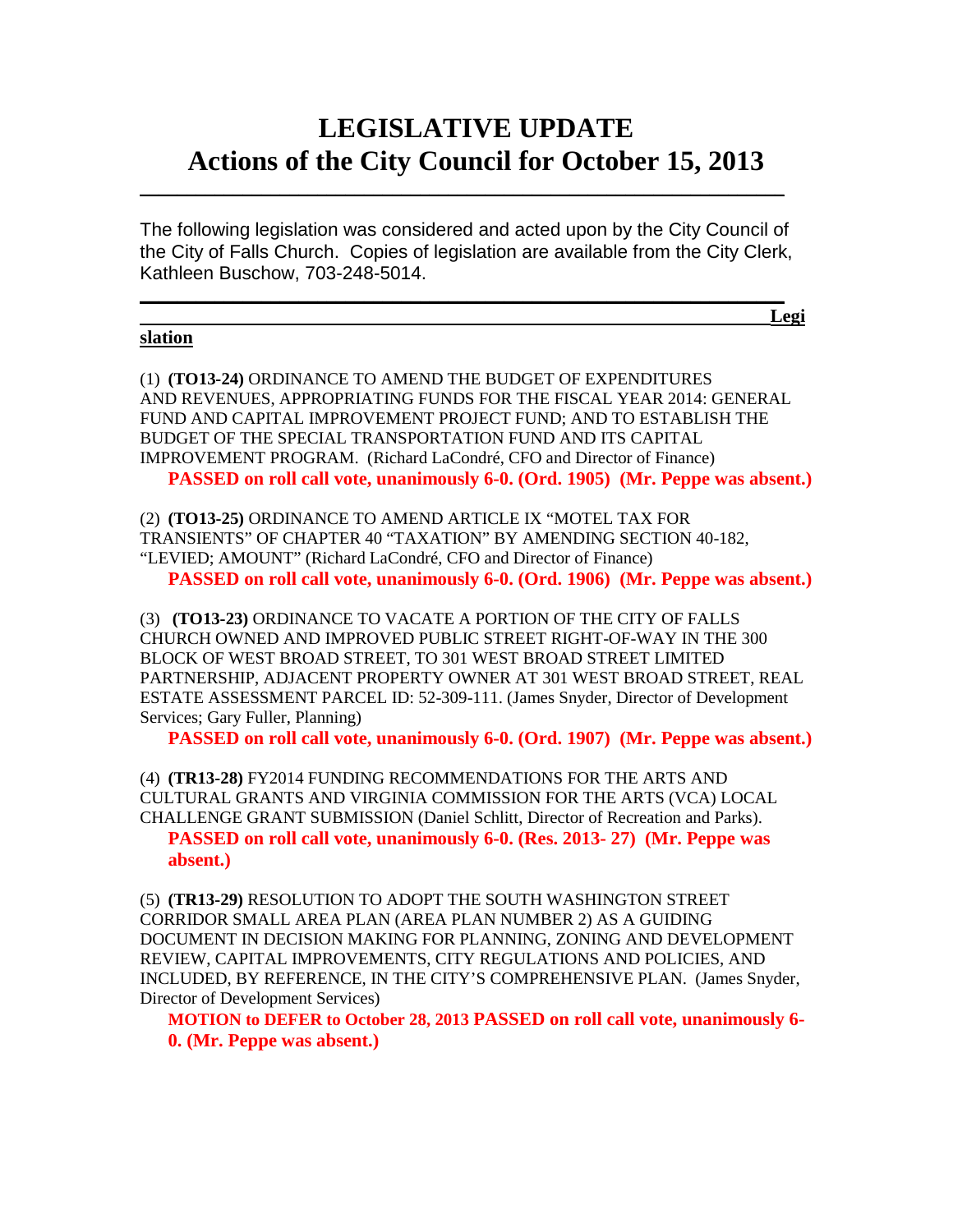# **LEGISLATIVE UPDATE Actions of the City Council for October 15, 2013**

The following legislation was considered and acted upon by the City Council of the City of Falls Church. Copies of legislation are available from the City Clerk, Kathleen Buschow, 703-248-5014.

 $\mathcal{L}_\text{max}$  and  $\mathcal{L}_\text{max}$  and  $\mathcal{L}_\text{max}$  and  $\mathcal{L}_\text{max}$  and  $\mathcal{L}_\text{max}$  and  $\mathcal{L}_\text{max}$ 

 $\mathcal{L}_\text{max}$  and  $\mathcal{L}_\text{max}$  and  $\mathcal{L}_\text{max}$  and  $\mathcal{L}_\text{max}$  and  $\mathcal{L}_\text{max}$  and  $\mathcal{L}_\text{max}$ 

**Legi**

#### **slation**

(1) **(TO13-24)** ORDINANCE TO AMEND THE BUDGET OF EXPENDITURES AND REVENUES, APPROPRIATING FUNDS FOR THE FISCAL YEAR 2014: GENERAL FUND AND CAPITAL IMPROVEMENT PROJECT FUND; AND TO ESTABLISH THE BUDGET OF THE SPECIAL TRANSPORTATION FUND AND ITS CAPITAL IMPROVEMENT PROGRAM. (Richard LaCondré, CFO and Director of Finance) **PASSED on roll call vote, unanimously 6-0. (Ord. 1905) (Mr. Peppe was absent.)**

(2) **(TO13-25)** ORDINANCE TO AMEND ARTICLE IX "MOTEL TAX FOR TRANSIENTS" OF CHAPTER 40 "TAXATION" BY AMENDING SECTION 40-182, "LEVIED; AMOUNT" (Richard LaCondré, CFO and Director of Finance)

**PASSED on roll call vote, unanimously 6-0. (Ord. 1906) (Mr. Peppe was absent.)**

(3) **(TO13-23)** ORDINANCE TO VACATE A PORTION OF THE CITY OF FALLS CHURCH OWNED AND IMPROVED PUBLIC STREET RIGHT-OF-WAY IN THE 300 BLOCK OF WEST BROAD STREET, TO 301 WEST BROAD STREET LIMITED PARTNERSHIP, ADJACENT PROPERTY OWNER AT 301 WEST BROAD STREET, REAL ESTATE ASSESSMENT PARCEL ID: 52-309-111. (James Snyder, Director of Development Services; Gary Fuller, Planning)

**PASSED on roll call vote, unanimously 6-0. (Ord. 1907) (Mr. Peppe was absent.)**

(4) **(TR13-28)** FY2014 FUNDING RECOMMENDATIONS FOR THE ARTS AND CULTURAL GRANTS AND VIRGINIA COMMISSION FOR THE ARTS (VCA) LOCAL CHALLENGE GRANT SUBMISSION (Daniel Schlitt, Director of Recreation and Parks). **PASSED on roll call vote, unanimously 6-0. (Res. 2013- 27) (Mr. Peppe was absent.)**

(5) **(TR13-29)** RESOLUTION TO ADOPT THE SOUTH WASHINGTON STREET CORRIDOR SMALL AREA PLAN (AREA PLAN NUMBER 2) AS A GUIDING DOCUMENT IN DECISION MAKING FOR PLANNING, ZONING AND DEVELOPMENT REVIEW, CAPITAL IMPROVEMENTS, CITY REGULATIONS AND POLICIES, AND INCLUDED, BY REFERENCE, IN THE CITY'S COMPREHENSIVE PLAN. (James Snyder, Director of Development Services)

**MOTION to DEFER to October 28, 2013 PASSED on roll call vote, unanimously 6- 0. (Mr. Peppe was absent.)**